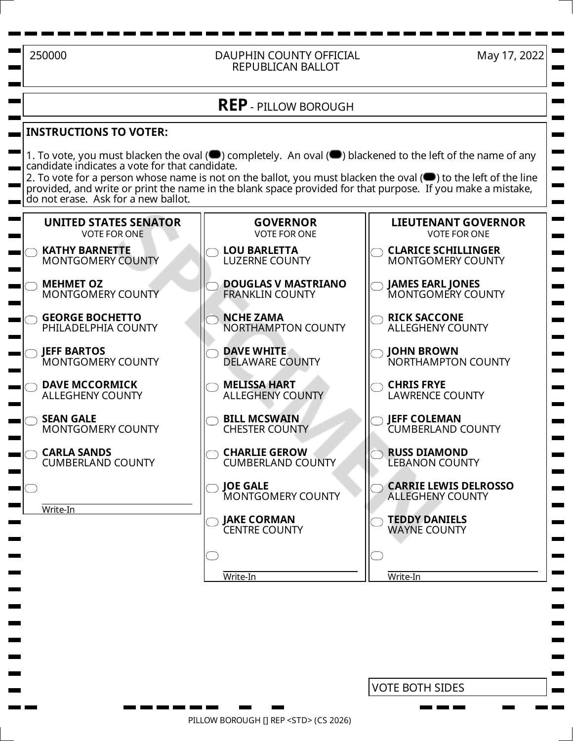## 250000 DAUPHIN COUNTY OFFICIAL REPUBLICAN BALLOT

May 17, 2022

## **REP**- PILLOW BOROUGH

## **INSTRUCTIONS TO VOTER:**

1. To vote, you must blacken the oval ( $\bullet$ ) completely. An oval ( $\bullet$ ) blackened to the left of the name of anv candidate indicates a vote for that candidate.

2. To vote for a person whose name is not on the ballot, you must blacken the oval  $($ **)** to the left of the line provided, and write or print the name in the blank space provided for that purpose. If you make a mistake, do not erase. Ask for a new ballot.